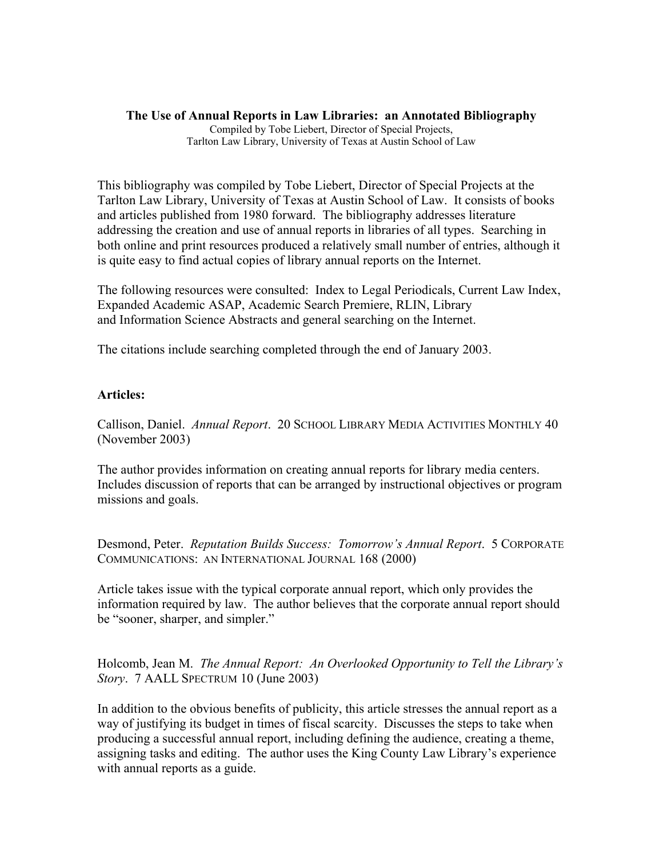## **The Use of Annual Reports in Law Libraries: an Annotated Bibliography**  Compiled by Tobe Liebert, Director of Special Projects, Tarlton Law Library, University of Texas at Austin School of Law

This bibliography was compiled by Tobe Liebert, Director of Special Projects at the Tarlton Law Library, University of Texas at Austin School of Law. It consists of books and articles published from 1980 forward. The bibliography addresses literature addressing the creation and use of annual reports in libraries of all types. Searching in both online and print resources produced a relatively small number of entries, although it is quite easy to find actual copies of library annual reports on the Internet.

The following resources were consulted: Index to Legal Periodicals, Current Law Index, Expanded Academic ASAP, Academic Search Premiere, RLIN, Library and Information Science Abstracts and general searching on the Internet.

The citations include searching completed through the end of January 2003.

## **Articles:**

Callison, Daniel. *Annual Report*. 20 SCHOOL LIBRARY MEDIA ACTIVITIES MONTHLY 40 (November 2003)

The author provides information on creating annual reports for library media centers. Includes discussion of reports that can be arranged by instructional objectives or program missions and goals.

Desmond, Peter. *Reputation Builds Success: Tomorrow's Annual Report*. 5 CORPORATE COMMUNICATIONS: AN INTERNATIONAL JOURNAL 168 (2000)

Article takes issue with the typical corporate annual report, which only provides the information required by law. The author believes that the corporate annual report should be "sooner, sharper, and simpler."

Holcomb, Jean M. *The Annual Report: An Overlooked Opportunity to Tell the Library's Story*. 7 AALL SPECTRUM 10 (June 2003)

In addition to the obvious benefits of publicity, this article stresses the annual report as a way of justifying its budget in times of fiscal scarcity. Discusses the steps to take when producing a successful annual report, including defining the audience, creating a theme, assigning tasks and editing. The author uses the King County Law Library's experience with annual reports as a guide.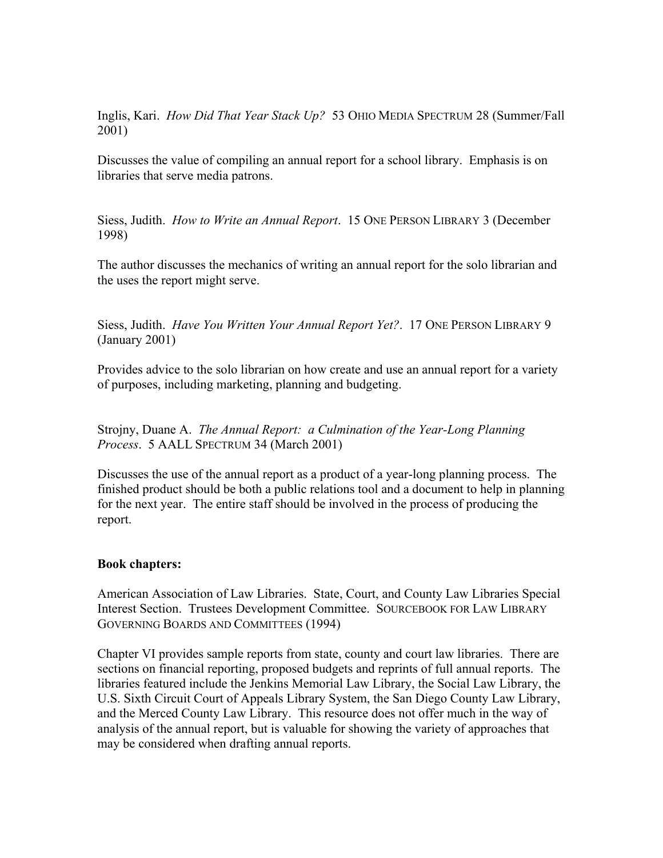Inglis, Kari. *How Did That Year Stack Up?* 53 OHIO MEDIA SPECTRUM 28 (Summer/Fall 2001)

Discusses the value of compiling an annual report for a school library. Emphasis is on libraries that serve media patrons.

Siess, Judith. *How to Write an Annual Report*. 15 ONE PERSON LIBRARY 3 (December 1998)

The author discusses the mechanics of writing an annual report for the solo librarian and the uses the report might serve.

Siess, Judith. *Have You Written Your Annual Report Yet?*. 17 ONE PERSON LIBRARY 9 (January 2001)

Provides advice to the solo librarian on how create and use an annual report for a variety of purposes, including marketing, planning and budgeting.

Strojny, Duane A. *The Annual Report: a Culmination of the Year-Long Planning Process*. 5 AALL SPECTRUM 34 (March 2001)

Discusses the use of the annual report as a product of a year-long planning process. The finished product should be both a public relations tool and a document to help in planning for the next year. The entire staff should be involved in the process of producing the report.

## **Book chapters:**

American Association of Law Libraries. State, Court, and County Law Libraries Special Interest Section. Trustees Development Committee. SOURCEBOOK FOR LAW LIBRARY GOVERNING BOARDS AND COMMITTEES (1994)

Chapter VI provides sample reports from state, county and court law libraries. There are sections on financial reporting, proposed budgets and reprints of full annual reports. The libraries featured include the Jenkins Memorial Law Library, the Social Law Library, the U.S. Sixth Circuit Court of Appeals Library System, the San Diego County Law Library, and the Merced County Law Library. This resource does not offer much in the way of analysis of the annual report, but is valuable for showing the variety of approaches that may be considered when drafting annual reports.